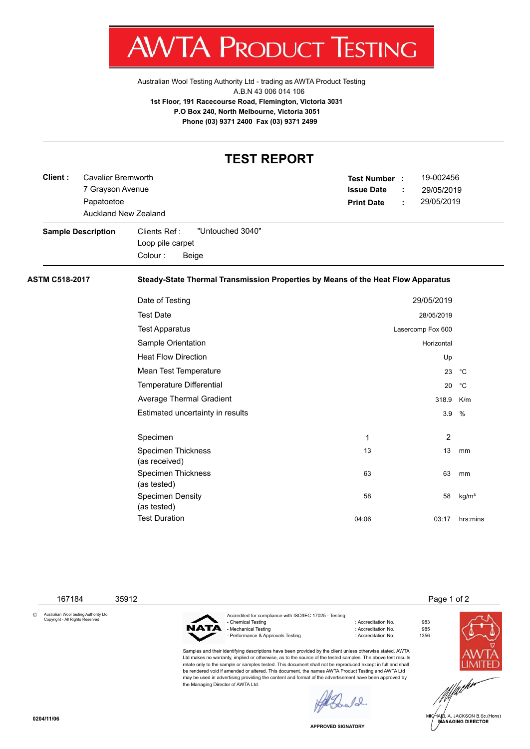

Australian Wool Testing Authority Ltd - trading as AWTA Product Testing A.B.N 43 006 014 106 **1st Floor, 191 Racecourse Road, Flemington, Victoria 3031 P.O Box 240, North Melbourne, Victoria 3051 Phone (03) 9371 2400 Fax (03) 9371 2499**

## **TEST REPORT**

| Client:               | <b>Cavalier Bremworth</b><br>7 Grayson Avenue<br>Papatoetoe<br>Auckland New Zealand |                                                                                  | <b>Issue Date</b><br><b>Print Date</b> | 19-002456<br>Test Number :<br>29/05/2019<br>29/05/2019 |                   |  |  |  |
|-----------------------|-------------------------------------------------------------------------------------|----------------------------------------------------------------------------------|----------------------------------------|--------------------------------------------------------|-------------------|--|--|--|
|                       | <b>Sample Description</b>                                                           | "Untouched 3040"<br>Clients Ref:<br>Loop pile carpet<br>Colour:<br>Beige         |                                        |                                                        |                   |  |  |  |
| <b>ASTM C518-2017</b> |                                                                                     | Steady-State Thermal Transmission Properties by Means of the Heat Flow Apparatus |                                        |                                                        |                   |  |  |  |
|                       |                                                                                     | Date of Testing                                                                  |                                        | 29/05/2019                                             |                   |  |  |  |
|                       |                                                                                     | <b>Test Date</b>                                                                 |                                        | 28/05/2019                                             |                   |  |  |  |
|                       |                                                                                     | <b>Test Apparatus</b>                                                            |                                        | Lasercomp Fox 600                                      |                   |  |  |  |
|                       |                                                                                     | Sample Orientation                                                               |                                        | Horizontal                                             |                   |  |  |  |
|                       |                                                                                     | <b>Heat Flow Direction</b>                                                       |                                        | Up                                                     |                   |  |  |  |
|                       |                                                                                     | Mean Test Temperature                                                            |                                        | 23                                                     | $^{\circ}$ C      |  |  |  |
|                       |                                                                                     | <b>Temperature Differential</b>                                                  |                                        | 20                                                     | $^{\circ}$ C      |  |  |  |
|                       |                                                                                     | Average Thermal Gradient                                                         |                                        | 318.9                                                  | K/m               |  |  |  |
|                       |                                                                                     | Estimated uncertainty in results                                                 |                                        | 3.9                                                    | %                 |  |  |  |
|                       |                                                                                     | Specimen                                                                         | 1                                      | 2                                                      |                   |  |  |  |
|                       |                                                                                     | <b>Specimen Thickness</b><br>(as received)                                       | 13                                     | 13                                                     | mm                |  |  |  |
|                       |                                                                                     | <b>Specimen Thickness</b><br>(as tested)                                         | 63                                     | 63                                                     | mm                |  |  |  |
|                       |                                                                                     | <b>Specimen Density</b><br>(as tested)                                           | 58                                     | 58                                                     | kg/m <sup>3</sup> |  |  |  |
|                       |                                                                                     | <b>Test Duration</b>                                                             | 04:06                                  | 03:17                                                  | hrs:mins          |  |  |  |

167184 35912 Page 1 of 2

© Australian Wool testing Authority Ltd Copyright - All Rights Reserved



Accredited for compliance with ISO/IEC 17025 - Testing - Chemical Testing : Accreditation No. 983 - Mechanical Testing - Performance & Approvals Testing in the match of the contract of Accreditation No. 61356

Samples and their identifying descriptions have been provided by the client unless otherwise stated. AWTA Ltd makes no warranty, implied or otherwise, as to the source of the tested samples. The above test results relate only to the sample or samples tested. This document shall not be reproduced except in full and shall be rendered void if amended or altered. This document, the names AWTA Product Testing and AWTA Ltd may be used in advertising providing the content and format of the advertisement have been approved by the Managing Director of AWTA Ltd.



**APPROVED SIGNATORY**